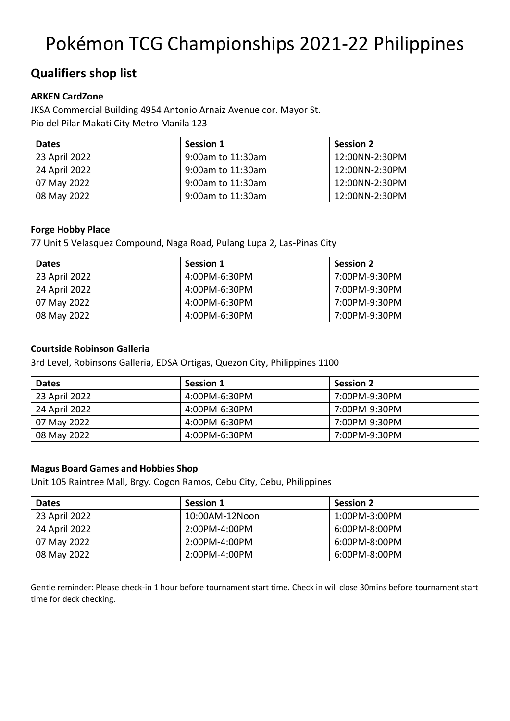# Pokémon TCG Championships 2021-22 Philippines

# **Qualifiers shop list**

### **ARKEN CardZone**

JKSA Commercial Building 4954 Antonio Arnaiz Avenue cor. Mayor St. Pio del Pilar Makati City Metro Manila 123

| <b>Dates</b>  | <b>Session 1</b>  | <b>Session 2</b> |
|---------------|-------------------|------------------|
| 23 April 2022 | 9:00am to 11:30am | 12:00NN-2:30PM   |
| 24 April 2022 | 9:00am to 11:30am | 12:00NN-2:30PM   |
| 07 May 2022   | 9:00am to 11:30am | 12:00NN-2:30PM   |
| 08 May 2022   | 9:00am to 11:30am | 12:00NN-2:30PM   |

### **Forge Hobby Place**

77 Unit 5 Velasquez Compound, Naga Road, Pulang Lupa 2, Las-Pinas City

| <b>Dates</b>  | <b>Session 1</b> | <b>Session 2</b> |
|---------------|------------------|------------------|
| 23 April 2022 | 4:00PM-6:30PM    | 7:00PM-9:30PM    |
| 24 April 2022 | 4:00PM-6:30PM    | 7:00PM-9:30PM    |
| 07 May 2022   | 4:00PM-6:30PM    | 7:00PM-9:30PM    |
| 08 May 2022   | 4:00PM-6:30PM    | 7:00PM-9:30PM    |

### **Courtside Robinson Galleria**

3rd Level, Robinsons Galleria, EDSA Ortigas, Quezon City, Philippines 1100

| <b>Dates</b>  | <b>Session 1</b> | <b>Session 2</b> |
|---------------|------------------|------------------|
| 23 April 2022 | 4:00PM-6:30PM    | 7:00PM-9:30PM    |
| 24 April 2022 | 4:00PM-6:30PM    | 7:00PM-9:30PM    |
| 07 May 2022   | 4:00PM-6:30PM    | 7:00PM-9:30PM    |
| 08 May 2022   | 4:00PM-6:30PM    | 7:00PM-9:30PM    |

### **Magus Board Games and Hobbies Shop**

Unit 105 Raintree Mall, Brgy. Cogon Ramos, Cebu City, Cebu, Philippines

| <b>Dates</b>  | <b>Session 1</b> | <b>Session 2</b>  |
|---------------|------------------|-------------------|
| 23 April 2022 | 10:00AM-12Noon   | $1:00PM - 3:00PM$ |
| 24 April 2022 | 2:00PM-4:00PM    | $6:00PM - 8:00PM$ |
| 07 May 2022   | 2:00PM-4:00PM    | $6:00PM - 8:00PM$ |
| 08 May 2022   | 2:00PM-4:00PM    | 6:00PM-8:00PM     |

Gentle reminder: Please check-in 1 hour before tournament start time. Check in will close 30mins before tournament start time for deck checking.